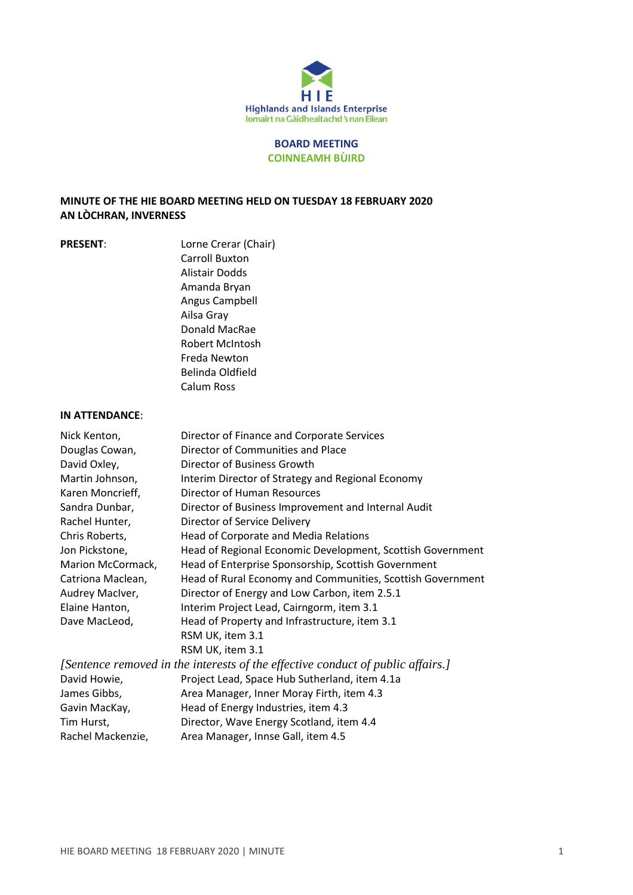

## **BOARD MEETING COINNEAMH BÙIRD**

## **MINUTE OF THE HIE BOARD MEETING HELD ON TUESDAY 18 FEBRUARY 2020 AN LÒCHRAN, INVERNESS**

**PRESENT:** Lorne Crerar (Chair) Carroll Buxton Alistair Dodds Amanda Bryan Angus Campbell Ailsa Gray Donald MacRae Robert McIntosh Freda Newton Belinda Oldfield Calum Ross

#### **IN ATTENDANCE**:

| Nick Kenton,                                                                    | Director of Finance and Corporate Services                 |
|---------------------------------------------------------------------------------|------------------------------------------------------------|
| Douglas Cowan,                                                                  | Director of Communities and Place                          |
| David Oxley,                                                                    | Director of Business Growth                                |
| Martin Johnson,                                                                 | Interim Director of Strategy and Regional Economy          |
| Karen Moncrieff,                                                                | Director of Human Resources                                |
| Sandra Dunbar,                                                                  | Director of Business Improvement and Internal Audit        |
| Rachel Hunter,                                                                  | Director of Service Delivery                               |
| Chris Roberts,                                                                  | Head of Corporate and Media Relations                      |
| Jon Pickstone,                                                                  | Head of Regional Economic Development, Scottish Government |
| Marion McCormack,                                                               | Head of Enterprise Sponsorship, Scottish Government        |
| Catriona Maclean,                                                               | Head of Rural Economy and Communities, Scottish Government |
| Audrey MacIver,                                                                 | Director of Energy and Low Carbon, item 2.5.1              |
| Elaine Hanton,                                                                  | Interim Project Lead, Cairngorm, item 3.1                  |
| Dave MacLeod,                                                                   | Head of Property and Infrastructure, item 3.1              |
|                                                                                 | RSM UK, item 3.1                                           |
|                                                                                 | RSM UK, item 3.1                                           |
| [Sentence removed in the interests of the effective conduct of public affairs.] |                                                            |
| David Howie,                                                                    | Project Lead, Space Hub Sutherland, item 4.1a              |
| James Gibbs,                                                                    | Area Manager, Inner Moray Firth, item 4.3                  |
| Gavin MacKay,                                                                   | Head of Energy Industries, item 4.3                        |
| Tim Hurst,                                                                      | Director, Wave Energy Scotland, item 4.4                   |
| Rachel Mackenzie,                                                               | Area Manager, Innse Gall, item 4.5                         |
|                                                                                 |                                                            |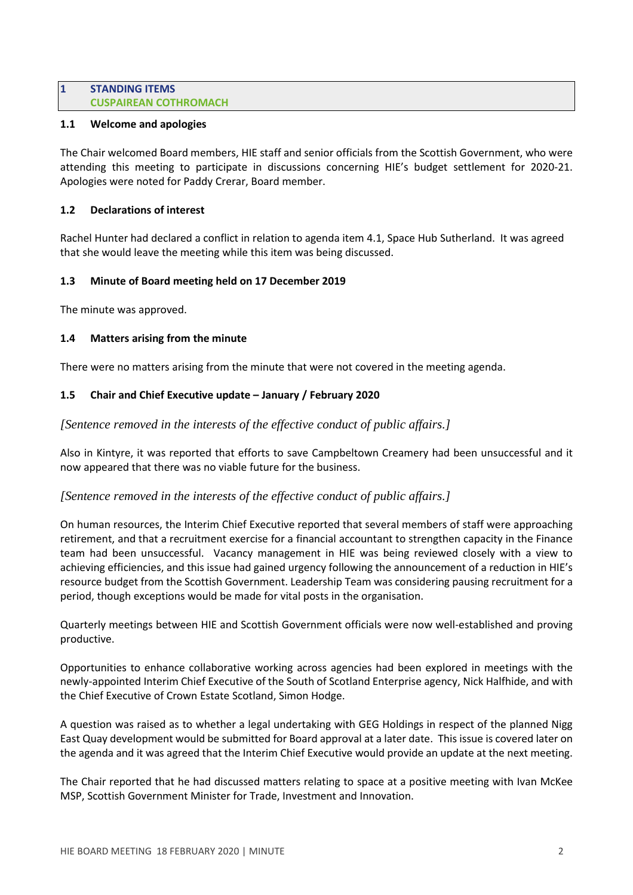## **1 STANDING ITEMS CUSPAIREAN COTHROMACH**

## **1.1 Welcome and apologies**

The Chair welcomed Board members, HIE staff and senior officials from the Scottish Government, who were attending this meeting to participate in discussions concerning HIE's budget settlement for 2020-21. Apologies were noted for Paddy Crerar, Board member.

## **1.2 Declarations of interest**

Rachel Hunter had declared a conflict in relation to agenda item 4.1, Space Hub Sutherland. It was agreed that she would leave the meeting while this item was being discussed.

## **1.3 Minute of Board meeting held on 17 December 2019**

The minute was approved.

## **1.4 Matters arising from the minute**

There were no matters arising from the minute that were not covered in the meeting agenda.

## **1.5 Chair and Chief Executive update – January / February 2020**

*[Sentence removed in the interests of the effective conduct of public affairs.]*

Also in Kintyre, it was reported that efforts to save Campbeltown Creamery had been unsuccessful and it now appeared that there was no viable future for the business.

# *[Sentence removed in the interests of the effective conduct of public affairs.]*

On human resources, the Interim Chief Executive reported that several members of staff were approaching retirement, and that a recruitment exercise for a financial accountant to strengthen capacity in the Finance team had been unsuccessful. Vacancy management in HIE was being reviewed closely with a view to achieving efficiencies, and this issue had gained urgency following the announcement of a reduction in HIE's resource budget from the Scottish Government. Leadership Team was considering pausing recruitment for a period, though exceptions would be made for vital posts in the organisation.

Quarterly meetings between HIE and Scottish Government officials were now well-established and proving productive.

Opportunities to enhance collaborative working across agencies had been explored in meetings with the newly-appointed Interim Chief Executive of the South of Scotland Enterprise agency, Nick Halfhide, and with the Chief Executive of Crown Estate Scotland, Simon Hodge.

A question was raised as to whether a legal undertaking with GEG Holdings in respect of the planned Nigg East Quay development would be submitted for Board approval at a later date. This issue is covered later on the agenda and it was agreed that the Interim Chief Executive would provide an update at the next meeting.

The Chair reported that he had discussed matters relating to space at a positive meeting with Ivan McKee MSP, Scottish Government Minister for Trade, Investment and Innovation.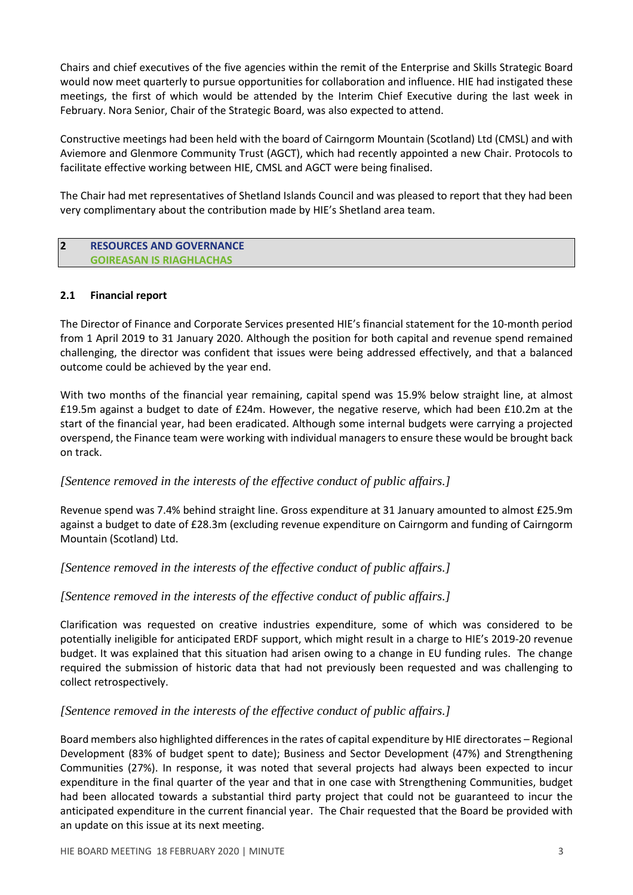Chairs and chief executives of the five agencies within the remit of the Enterprise and Skills Strategic Board would now meet quarterly to pursue opportunities for collaboration and influence. HIE had instigated these meetings, the first of which would be attended by the Interim Chief Executive during the last week in February. Nora Senior, Chair of the Strategic Board, was also expected to attend.

Constructive meetings had been held with the board of Cairngorm Mountain (Scotland) Ltd (CMSL) and with Aviemore and Glenmore Community Trust (AGCT), which had recently appointed a new Chair. Protocols to facilitate effective working between HIE, CMSL and AGCT were being finalised.

The Chair had met representatives of Shetland Islands Council and was pleased to report that they had been very complimentary about the contribution made by HIE's Shetland area team.

## **2 RESOURCES AND GOVERNANCE GOIREASAN IS RIAGHLACHAS**

## **2.1 Financial report**

The Director of Finance and Corporate Services presented HIE's financial statement for the 10-month period from 1 April 2019 to 31 January 2020. Although the position for both capital and revenue spend remained challenging, the director was confident that issues were being addressed effectively, and that a balanced outcome could be achieved by the year end.

With two months of the financial year remaining, capital spend was 15.9% below straight line, at almost £19.5m against a budget to date of £24m. However, the negative reserve, which had been £10.2m at the start of the financial year, had been eradicated. Although some internal budgets were carrying a projected overspend, the Finance team were working with individual managers to ensure these would be brought back on track.

# *[Sentence removed in the interests of the effective conduct of public affairs.]*

Revenue spend was 7.4% behind straight line. Gross expenditure at 31 January amounted to almost £25.9m against a budget to date of £28.3m (excluding revenue expenditure on Cairngorm and funding of Cairngorm Mountain (Scotland) Ltd.

*[Sentence removed in the interests of the effective conduct of public affairs.]*

# *[Sentence removed in the interests of the effective conduct of public affairs.]*

Clarification was requested on creative industries expenditure, some of which was considered to be potentially ineligible for anticipated ERDF support, which might result in a charge to HIE's 2019-20 revenue budget. It was explained that this situation had arisen owing to a change in EU funding rules. The change required the submission of historic data that had not previously been requested and was challenging to collect retrospectively.

# *[Sentence removed in the interests of the effective conduct of public affairs.]*

Board members also highlighted differencesin the rates of capital expenditure by HIE directorates – Regional Development (83% of budget spent to date); Business and Sector Development (47%) and Strengthening Communities (27%). In response, it was noted that several projects had always been expected to incur expenditure in the final quarter of the year and that in one case with Strengthening Communities, budget had been allocated towards a substantial third party project that could not be guaranteed to incur the anticipated expenditure in the current financial year. The Chair requested that the Board be provided with an update on this issue at its next meeting.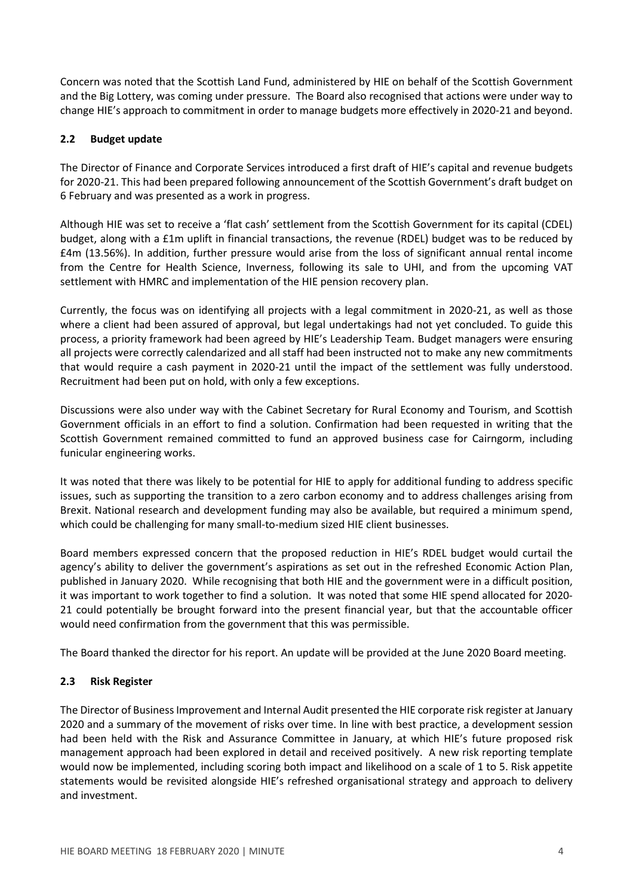Concern was noted that the Scottish Land Fund, administered by HIE on behalf of the Scottish Government and the Big Lottery, was coming under pressure. The Board also recognised that actions were under way to change HIE's approach to commitment in order to manage budgets more effectively in 2020-21 and beyond.

# **2.2 Budget update**

The Director of Finance and Corporate Services introduced a first draft of HIE's capital and revenue budgets for 2020-21. This had been prepared following announcement of the Scottish Government's draft budget on 6 February and was presented as a work in progress.

Although HIE was set to receive a 'flat cash' settlement from the Scottish Government for its capital (CDEL) budget, along with a £1m uplift in financial transactions, the revenue (RDEL) budget was to be reduced by £4m (13.56%). In addition, further pressure would arise from the loss of significant annual rental income from the Centre for Health Science, Inverness, following its sale to UHI, and from the upcoming VAT settlement with HMRC and implementation of the HIE pension recovery plan.

Currently, the focus was on identifying all projects with a legal commitment in 2020-21, as well as those where a client had been assured of approval, but legal undertakings had not yet concluded. To guide this process, a priority framework had been agreed by HIE's Leadership Team. Budget managers were ensuring all projects were correctly calendarized and all staff had been instructed not to make any new commitments that would require a cash payment in 2020-21 until the impact of the settlement was fully understood. Recruitment had been put on hold, with only a few exceptions.

Discussions were also under way with the Cabinet Secretary for Rural Economy and Tourism, and Scottish Government officials in an effort to find a solution. Confirmation had been requested in writing that the Scottish Government remained committed to fund an approved business case for Cairngorm, including funicular engineering works.

It was noted that there was likely to be potential for HIE to apply for additional funding to address specific issues, such as supporting the transition to a zero carbon economy and to address challenges arising from Brexit. National research and development funding may also be available, but required a minimum spend, which could be challenging for many small-to-medium sized HIE client businesses.

Board members expressed concern that the proposed reduction in HIE's RDEL budget would curtail the agency's ability to deliver the government's aspirations as set out in the refreshed Economic Action Plan, published in January 2020. While recognising that both HIE and the government were in a difficult position, it was important to work together to find a solution. It was noted that some HIE spend allocated for 2020- 21 could potentially be brought forward into the present financial year, but that the accountable officer would need confirmation from the government that this was permissible.

The Board thanked the director for his report. An update will be provided at the June 2020 Board meeting.

# **2.3 Risk Register**

The Director of Business Improvement and Internal Audit presented the HIE corporate risk register at January 2020 and a summary of the movement of risks over time. In line with best practice, a development session had been held with the Risk and Assurance Committee in January, at which HIE's future proposed risk management approach had been explored in detail and received positively. A new risk reporting template would now be implemented, including scoring both impact and likelihood on a scale of 1 to 5. Risk appetite statements would be revisited alongside HIE's refreshed organisational strategy and approach to delivery and investment.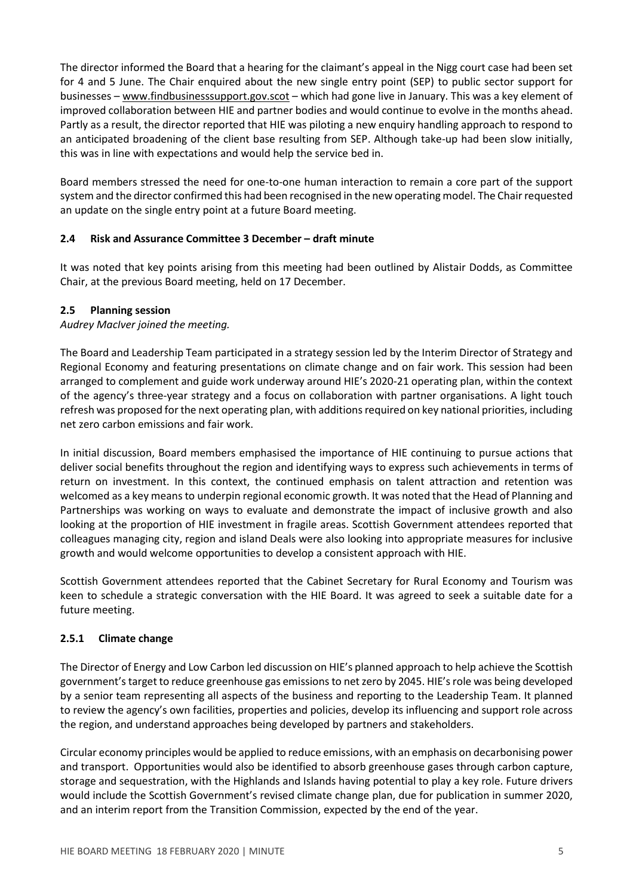The director informed the Board that a hearing for the claimant's appeal in the Nigg court case had been set for 4 and 5 June. The Chair enquired about the new single entry point (SEP) to public sector support for businesses – [www.findbusinesssupport.gov.scot](http://www.findbusinesssupport.gov.scot/) – which had gone live in January. This was a key element of improved collaboration between HIE and partner bodies and would continue to evolve in the months ahead. Partly as a result, the director reported that HIE was piloting a new enquiry handling approach to respond to an anticipated broadening of the client base resulting from SEP. Although take-up had been slow initially, this was in line with expectations and would help the service bed in.

Board members stressed the need for one-to-one human interaction to remain a core part of the support system and the director confirmed this had been recognised in the new operating model. The Chair requested an update on the single entry point at a future Board meeting.

# **2.4 Risk and Assurance Committee 3 December – draft minute**

It was noted that key points arising from this meeting had been outlined by Alistair Dodds, as Committee Chair, at the previous Board meeting, held on 17 December.

# **2.5 Planning session**

*Audrey MacIver joined the meeting.*

The Board and Leadership Team participated in a strategy session led by the Interim Director of Strategy and Regional Economy and featuring presentations on climate change and on fair work. This session had been arranged to complement and guide work underway around HIE's 2020-21 operating plan, within the context of the agency's three-year strategy and a focus on collaboration with partner organisations. A light touch refresh was proposed for the next operating plan, with additions required on key national priorities, including net zero carbon emissions and fair work.

In initial discussion, Board members emphasised the importance of HIE continuing to pursue actions that deliver social benefits throughout the region and identifying ways to express such achievements in terms of return on investment. In this context, the continued emphasis on talent attraction and retention was welcomed as a key meansto underpin regional economic growth. It was noted that the Head of Planning and Partnerships was working on ways to evaluate and demonstrate the impact of inclusive growth and also looking at the proportion of HIE investment in fragile areas. Scottish Government attendees reported that colleagues managing city, region and island Deals were also looking into appropriate measures for inclusive growth and would welcome opportunities to develop a consistent approach with HIE.

Scottish Government attendees reported that the Cabinet Secretary for Rural Economy and Tourism was keen to schedule a strategic conversation with the HIE Board. It was agreed to seek a suitable date for a future meeting.

# **2.5.1 Climate change**

The Director of Energy and Low Carbon led discussion on HIE's planned approach to help achieve the Scottish government'starget to reduce greenhouse gas emissionsto netzero by 2045. HIE'srole was being developed by a senior team representing all aspects of the business and reporting to the Leadership Team. It planned to review the agency's own facilities, properties and policies, develop its influencing and support role across the region, and understand approaches being developed by partners and stakeholders.

Circular economy principles would be applied to reduce emissions, with an emphasis on decarbonising power and transport. Opportunities would also be identified to absorb greenhouse gases through carbon capture, storage and sequestration, with the Highlands and Islands having potential to play a key role. Future drivers would include the Scottish Government's revised climate change plan, due for publication in summer 2020, and an interim report from the Transition Commission, expected by the end of the year.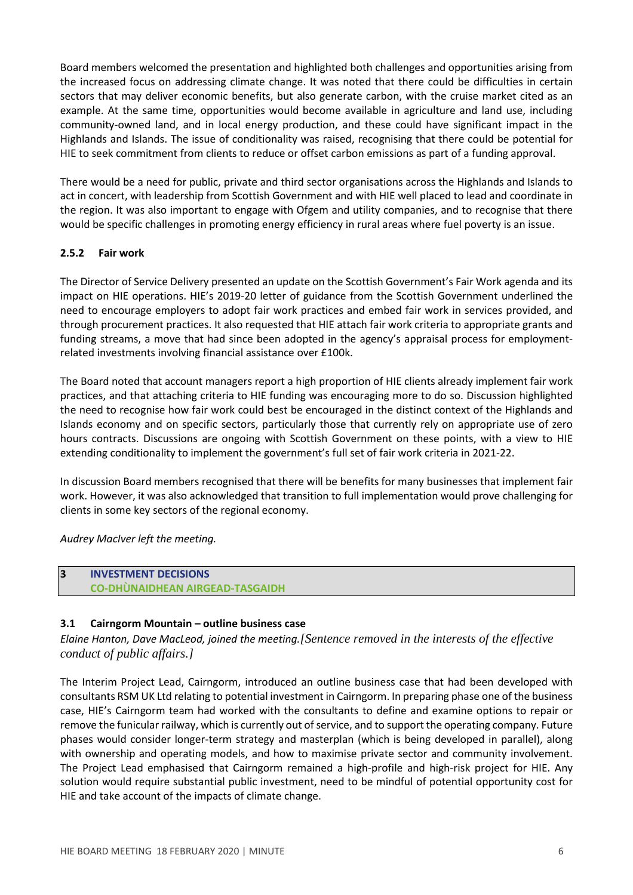Board members welcomed the presentation and highlighted both challenges and opportunities arising from the increased focus on addressing climate change. It was noted that there could be difficulties in certain sectors that may deliver economic benefits, but also generate carbon, with the cruise market cited as an example. At the same time, opportunities would become available in agriculture and land use, including community-owned land, and in local energy production, and these could have significant impact in the Highlands and Islands. The issue of conditionality was raised, recognising that there could be potential for HIE to seek commitment from clients to reduce or offset carbon emissions as part of a funding approval.

There would be a need for public, private and third sector organisations across the Highlands and Islands to act in concert, with leadership from Scottish Government and with HIE well placed to lead and coordinate in the region. It was also important to engage with Ofgem and utility companies, and to recognise that there would be specific challenges in promoting energy efficiency in rural areas where fuel poverty is an issue.

## **2.5.2 Fair work**

The Director of Service Delivery presented an update on the Scottish Government's Fair Work agenda and its impact on HIE operations. HIE's 2019-20 letter of guidance from the Scottish Government underlined the need to encourage employers to adopt fair work practices and embed fair work in services provided, and through procurement practices. It also requested that HIE attach fair work criteria to appropriate grants and funding streams, a move that had since been adopted in the agency's appraisal process for employmentrelated investments involving financial assistance over £100k.

The Board noted that account managers report a high proportion of HIE clients already implement fair work practices, and that attaching criteria to HIE funding was encouraging more to do so. Discussion highlighted the need to recognise how fair work could best be encouraged in the distinct context of the Highlands and Islands economy and on specific sectors, particularly those that currently rely on appropriate use of zero hours contracts. Discussions are ongoing with Scottish Government on these points, with a view to HIE extending conditionality to implement the government's full set of fair work criteria in 2021-22.

In discussion Board members recognised that there will be benefits for many businesses that implement fair work. However, it was also acknowledged that transition to full implementation would prove challenging for clients in some key sectors of the regional economy.

# *Audrey MacIver left the meeting.*

#### **3 INVESTMENT DECISIONS CO-DHÙNAIDHEAN AIRGEAD-TASGAIDH**

# **3.1 Cairngorm Mountain – outline business case**

*Elaine Hanton, Dave MacLeod, joined the meeting.[Sentence removed in the interests of the effective conduct of public affairs.]*

The Interim Project Lead, Cairngorm, introduced an outline business case that had been developed with consultants RSM UK Ltd relating to potential investment in Cairngorm. In preparing phase one of the business case, HIE's Cairngorm team had worked with the consultants to define and examine options to repair or remove the funicular railway, which is currently out of service, and to support the operating company. Future phases would consider longer-term strategy and masterplan (which is being developed in parallel), along with ownership and operating models, and how to maximise private sector and community involvement. The Project Lead emphasised that Cairngorm remained a high-profile and high-risk project for HIE. Any solution would require substantial public investment, need to be mindful of potential opportunity cost for HIE and take account of the impacts of climate change.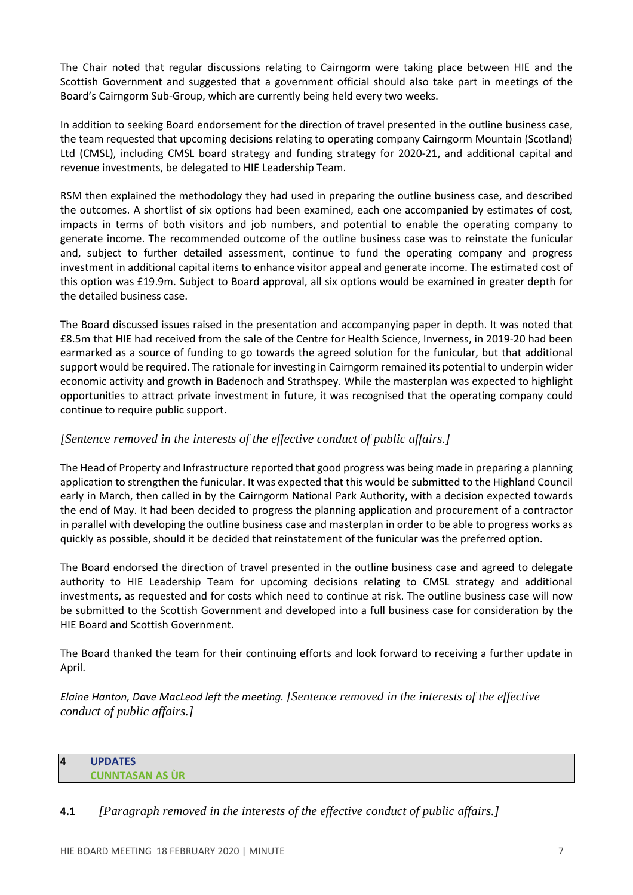The Chair noted that regular discussions relating to Cairngorm were taking place between HIE and the Scottish Government and suggested that a government official should also take part in meetings of the Board's Cairngorm Sub-Group, which are currently being held every two weeks.

In addition to seeking Board endorsement for the direction of travel presented in the outline business case, the team requested that upcoming decisions relating to operating company Cairngorm Mountain (Scotland) Ltd (CMSL), including CMSL board strategy and funding strategy for 2020-21, and additional capital and revenue investments, be delegated to HIE Leadership Team.

RSM then explained the methodology they had used in preparing the outline business case, and described the outcomes. A shortlist of six options had been examined, each one accompanied by estimates of cost, impacts in terms of both visitors and job numbers, and potential to enable the operating company to generate income. The recommended outcome of the outline business case was to reinstate the funicular and, subject to further detailed assessment, continue to fund the operating company and progress investment in additional capital items to enhance visitor appeal and generate income. The estimated cost of this option was £19.9m. Subject to Board approval, all six options would be examined in greater depth for the detailed business case.

The Board discussed issues raised in the presentation and accompanying paper in depth. It was noted that £8.5m that HIE had received from the sale of the Centre for Health Science, Inverness, in 2019-20 had been earmarked as a source of funding to go towards the agreed solution for the funicular, but that additional support would be required. The rationale for investing in Cairngorm remained its potential to underpin wider economic activity and growth in Badenoch and Strathspey. While the masterplan was expected to highlight opportunities to attract private investment in future, it was recognised that the operating company could continue to require public support.

# *[Sentence removed in the interests of the effective conduct of public affairs.]*

The Head of Property and Infrastructure reported that good progress was being made in preparing a planning application to strengthen the funicular. It was expected that this would be submitted to the Highland Council early in March, then called in by the Cairngorm National Park Authority, with a decision expected towards the end of May. It had been decided to progress the planning application and procurement of a contractor in parallel with developing the outline business case and masterplan in order to be able to progress works as quickly as possible, should it be decided that reinstatement of the funicular was the preferred option.

The Board endorsed the direction of travel presented in the outline business case and agreed to delegate authority to HIE Leadership Team for upcoming decisions relating to CMSL strategy and additional investments, as requested and for costs which need to continue at risk. The outline business case will now be submitted to the Scottish Government and developed into a full business case for consideration by the HIE Board and Scottish Government.

The Board thanked the team for their continuing efforts and look forward to receiving a further update in April.

*Elaine Hanton, Dave MacLeod left the meeting. [Sentence removed in the interests of the effective conduct of public affairs.]*

## **4 UPDATES CUNNTASAN AS ÙR**

**4.1** *[Paragraph removed in the interests of the effective conduct of public affairs.]*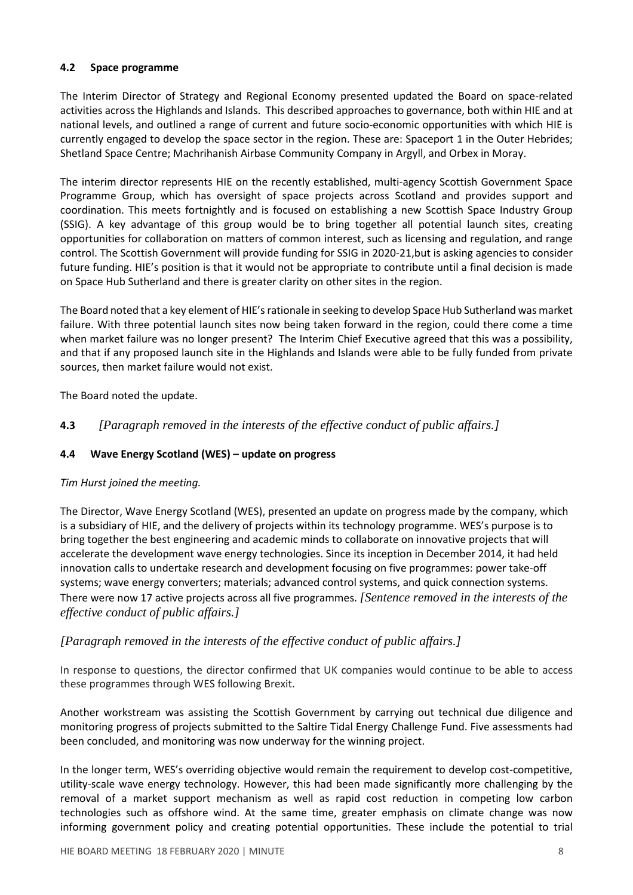# **4.2 Space programme**

The Interim Director of Strategy and Regional Economy presented updated the Board on space-related activities across the Highlands and Islands. This described approaches to governance, both within HIE and at national levels, and outlined a range of current and future socio-economic opportunities with which HIE is currently engaged to develop the space sector in the region. These are: Spaceport 1 in the Outer Hebrides; Shetland Space Centre; Machrihanish Airbase Community Company in Argyll, and Orbex in Moray.

The interim director represents HIE on the recently established, multi-agency Scottish Government Space Programme Group, which has oversight of space projects across Scotland and provides support and coordination. This meets fortnightly and is focused on establishing a new Scottish Space Industry Group (SSIG). A key advantage of this group would be to bring together all potential launch sites, creating opportunities for collaboration on matters of common interest, such as licensing and regulation, and range control. The Scottish Government will provide funding for SSIG in 2020-21,but is asking agencies to consider future funding. HIE's position is that it would not be appropriate to contribute until a final decision is made on Space Hub Sutherland and there is greater clarity on other sites in the region.

The Board noted that a key element of HIE'srationale in seeking to develop Space Hub Sutherland was market failure. With three potential launch sites now being taken forward in the region, could there come a time when market failure was no longer present? The Interim Chief Executive agreed that this was a possibility, and that if any proposed launch site in the Highlands and Islands were able to be fully funded from private sources, then market failure would not exist.

The Board noted the update.

**4.3** *[Paragraph removed in the interests of the effective conduct of public affairs.]*

# **4.4 Wave Energy Scotland (WES) – update on progress**

## *Tim Hurst joined the meeting.*

The Director, Wave Energy Scotland (WES), presented an update on progress made by the company, which is a subsidiary of HIE, and the delivery of projects within its technology programme. WES's purpose is to bring together the best engineering and academic minds to collaborate on innovative projects that will accelerate the development wave energy technologies. Since its inception in December 2014, it had held innovation calls to undertake research and development focusing on five programmes: power take-off systems; wave energy converters; materials; advanced control systems, and quick connection systems. There were now 17 active projects across all five programmes. *[Sentence removed in the interests of the effective conduct of public affairs.]*

# *[Paragraph removed in the interests of the effective conduct of public affairs.]*

In response to questions, the director confirmed that UK companies would continue to be able to access these programmes through WES following Brexit.

Another workstream was assisting the Scottish Government by carrying out technical due diligence and monitoring progress of projects submitted to the Saltire Tidal Energy Challenge Fund. Five assessments had been concluded, and monitoring was now underway for the winning project.

In the longer term, WES's overriding objective would remain the requirement to develop cost-competitive, utility-scale wave energy technology. However, this had been made significantly more challenging by the removal of a market support mechanism as well as rapid cost reduction in competing low carbon technologies such as offshore wind. At the same time, greater emphasis on climate change was now informing government policy and creating potential opportunities. These include the potential to trial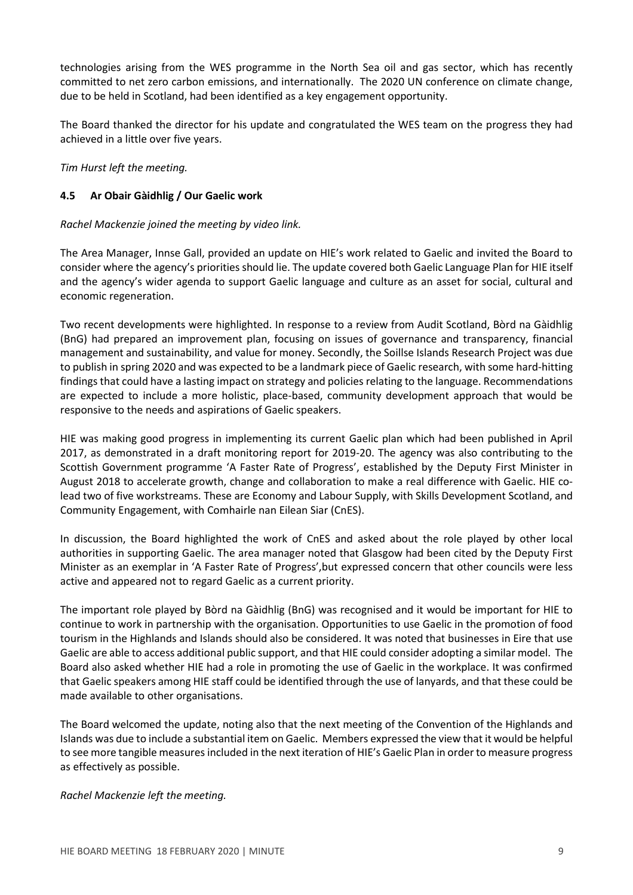technologies arising from the WES programme in the North Sea oil and gas sector, which has recently committed to net zero carbon emissions, and internationally. The 2020 UN conference on climate change, due to be held in Scotland, had been identified as a key engagement opportunity.

The Board thanked the director for his update and congratulated the WES team on the progress they had achieved in a little over five years.

*Tim Hurst left the meeting.*

## **4.5 Ar Obair Gàidhlig / Our Gaelic work**

## *Rachel Mackenzie joined the meeting by video link.*

The Area Manager, Innse Gall, provided an update on HIE's work related to Gaelic and invited the Board to consider where the agency's priorities should lie. The update covered both Gaelic Language Plan for HIE itself and the agency's wider agenda to support Gaelic language and culture as an asset for social, cultural and economic regeneration.

Two recent developments were highlighted. In response to a review from Audit Scotland, Bòrd na Gàidhlig (BnG) had prepared an improvement plan, focusing on issues of governance and transparency, financial management and sustainability, and value for money. Secondly, the Soillse Islands Research Project was due to publish in spring 2020 and was expected to be a landmark piece of Gaelic research, with some hard-hitting findings that could have a lasting impact on strategy and policies relating to the language. Recommendations are expected to include a more holistic, place-based, community development approach that would be responsive to the needs and aspirations of Gaelic speakers.

HIE was making good progress in implementing its current Gaelic plan which had been published in April 2017, as demonstrated in a draft monitoring report for 2019-20. The agency was also contributing to the Scottish Government programme 'A Faster Rate of Progress', established by the Deputy First Minister in August 2018 to accelerate growth, change and collaboration to make a real difference with Gaelic. HIE colead two of five workstreams. These are Economy and Labour Supply, with Skills Development Scotland, and Community Engagement, with Comhairle nan Eilean Siar (CnES).

In discussion, the Board highlighted the work of CnES and asked about the role played by other local authorities in supporting Gaelic. The area manager noted that Glasgow had been cited by the Deputy First Minister as an exemplar in 'A Faster Rate of Progress',but expressed concern that other councils were less active and appeared not to regard Gaelic as a current priority.

The important role played by Bòrd na Gàidhlig (BnG) was recognised and it would be important for HIE to continue to work in partnership with the organisation. Opportunities to use Gaelic in the promotion of food tourism in the Highlands and Islands should also be considered. It was noted that businesses in Eire that use Gaelic are able to access additional public support, and that HIE could consider adopting a similar model. The Board also asked whether HIE had a role in promoting the use of Gaelic in the workplace. It was confirmed that Gaelic speakers among HIE staff could be identified through the use of lanyards, and that these could be made available to other organisations.

The Board welcomed the update, noting also that the next meeting of the Convention of the Highlands and Islands was due to include a substantial item on Gaelic. Members expressed the view that it would be helpful to see more tangible measuresincluded in the next iteration of HIE's Gaelic Plan in order to measure progress as effectively as possible.

*Rachel Mackenzie left the meeting.*